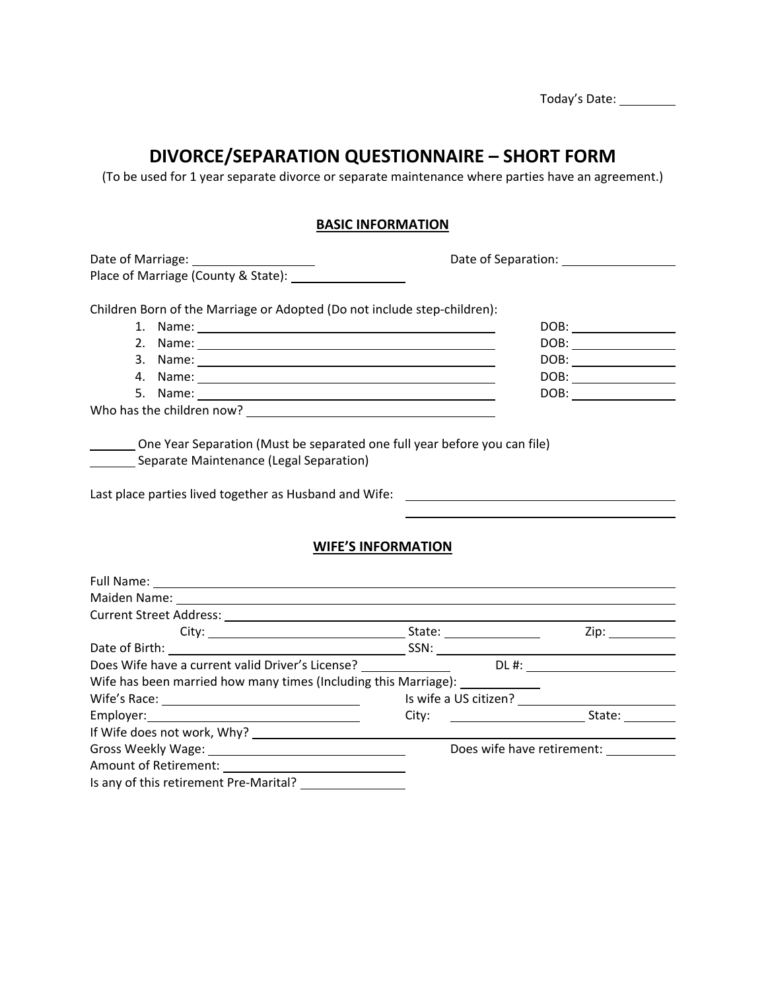|                                                                                                                                                                                                                                                                                                              | DIVORCE/SEPARATION QUESTIONNAIRE - SHORT FORM<br>(To be used for 1 year separate divorce or separate maintenance where parties have an agreement.)                                                                                                                                                                                                  |  |
|--------------------------------------------------------------------------------------------------------------------------------------------------------------------------------------------------------------------------------------------------------------------------------------------------------------|-----------------------------------------------------------------------------------------------------------------------------------------------------------------------------------------------------------------------------------------------------------------------------------------------------------------------------------------------------|--|
|                                                                                                                                                                                                                                                                                                              | <b>BASIC INFORMATION</b>                                                                                                                                                                                                                                                                                                                            |  |
| Place of Marriage (County & State): [18] March 2014                                                                                                                                                                                                                                                          |                                                                                                                                                                                                                                                                                                                                                     |  |
| Children Born of the Marriage or Adopted (Do not include step-children):<br>1. Name: 1. 2008. 2009. 2009. 2009. 2009. 2012. 2014. 2015. 2016. 2017. 2018. 2019. 2019. 2019. 2019. 2019. 20<br>2. Name: 2008. 2008. 2009. 2009. 2010. 2010. 2010. 2011. 2012. 2012. 2013. 2014. 2014. 2014. 2014. 2014. 2014. | DOB: __________________<br>$\texttt{DOB:}\xrightarrow{\hspace{0.5cm}}$                                                                                                                                                                                                                                                                              |  |
|                                                                                                                                                                                                                                                                                                              | $\begin{picture}(150,10) \put(0,0){\line(1,0){100}} \put(0,0){\line(1,0){100}} \put(0,0){\line(1,0){100}} \put(0,0){\line(1,0){100}} \put(0,0){\line(1,0){100}} \put(0,0){\line(1,0){100}} \put(0,0){\line(1,0){100}} \put(0,0){\line(1,0){100}} \put(0,0){\line(1,0){100}} \put(0,0){\line(1,0){100}} \put(0,0){\line(1,0){100}} \put(0,0){\line($ |  |
|                                                                                                                                                                                                                                                                                                              | $\texttt{DOB:}\xrightarrow{\hspace{0.5cm}}$                                                                                                                                                                                                                                                                                                         |  |
| 5.                                                                                                                                                                                                                                                                                                           | $\texttt{DOB:}\xrightarrow{\hspace{0.5cm}}$                                                                                                                                                                                                                                                                                                         |  |
|                                                                                                                                                                                                                                                                                                              |                                                                                                                                                                                                                                                                                                                                                     |  |
| One Year Separation (Must be separated one full year before you can file)<br>Separate Maintenance (Legal Separation)                                                                                                                                                                                         |                                                                                                                                                                                                                                                                                                                                                     |  |
|                                                                                                                                                                                                                                                                                                              | <b>WIFE'S INFORMATION</b>                                                                                                                                                                                                                                                                                                                           |  |
|                                                                                                                                                                                                                                                                                                              |                                                                                                                                                                                                                                                                                                                                                     |  |
|                                                                                                                                                                                                                                                                                                              | Maiden Name: 1988 March 2008 March 2008 March 2008 March 2008 March 2008 March 2008 March 2008 March 2008 March 2008 March 2008 March 2008 March 2008 March 2008 March 2008 March 2008 March 2008 March 2008 March 2008 March                                                                                                                       |  |
|                                                                                                                                                                                                                                                                                                              |                                                                                                                                                                                                                                                                                                                                                     |  |
|                                                                                                                                                                                                                                                                                                              |                                                                                                                                                                                                                                                                                                                                                     |  |
|                                                                                                                                                                                                                                                                                                              |                                                                                                                                                                                                                                                                                                                                                     |  |
|                                                                                                                                                                                                                                                                                                              |                                                                                                                                                                                                                                                                                                                                                     |  |
|                                                                                                                                                                                                                                                                                                              |                                                                                                                                                                                                                                                                                                                                                     |  |
|                                                                                                                                                                                                                                                                                                              |                                                                                                                                                                                                                                                                                                                                                     |  |
| <u> 1980 - Jan Samuel Barbara, margaret e</u>                                                                                                                                                                                                                                                                | City:                                                                                                                                                                                                                                                                                                                                               |  |
|                                                                                                                                                                                                                                                                                                              | Does wife have retirement: ___________                                                                                                                                                                                                                                                                                                              |  |
| Wife has been married how many times (Including this Marriage): _______________<br>Employer:                                                                                                                                                                                                                 |                                                                                                                                                                                                                                                                                                                                                     |  |

Today's Date: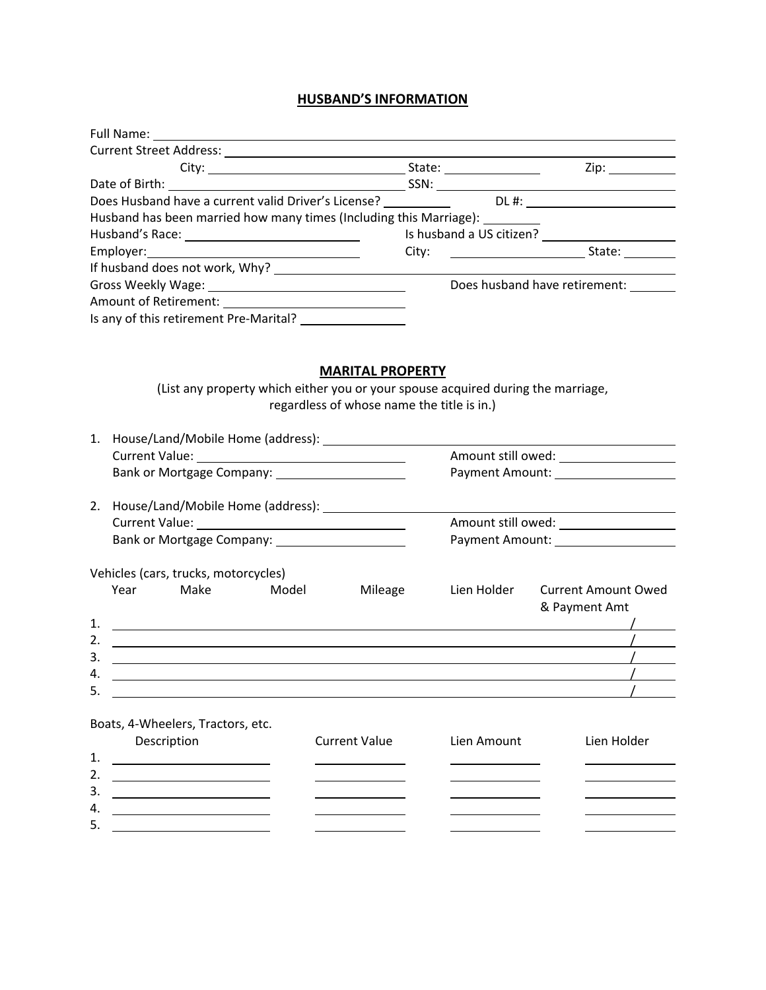## **HUSBAND'S INFORMATION**

|                                                                    | State: ________________ | Zip: $\qquad \qquad \qquad$                                |
|--------------------------------------------------------------------|-------------------------|------------------------------------------------------------|
|                                                                    |                         |                                                            |
| Does Husband have a current valid Driver's License?                |                         |                                                            |
| Husband has been married how many times (Including this Marriage): |                         |                                                            |
|                                                                    |                         | Is husband a US citizen?<br><u>Lettische</u> a US citizen? |
|                                                                    |                         |                                                            |
|                                                                    |                         |                                                            |
|                                                                    |                         | Does husband have retirement:                              |
|                                                                    |                         |                                                            |
| Is any of this retirement Pre-Marital?                             |                         |                                                            |

## **MARITAL PROPERTY**

(List any property which either you or your spouse acquired during the marriage, regardless of whose name the title is in.)

| $\mathbf{1}$ . |                                      |                                                 |            |                                                                                                                                                                                                                                      |                                         |                                             |
|----------------|--------------------------------------|-------------------------------------------------|------------|--------------------------------------------------------------------------------------------------------------------------------------------------------------------------------------------------------------------------------------|-----------------------------------------|---------------------------------------------|
|                |                                      |                                                 |            |                                                                                                                                                                                                                                      |                                         |                                             |
|                |                                      |                                                 |            | Bank or Mortgage Company: _______________________                                                                                                                                                                                    |                                         | Payment Amount: _____________________       |
| 2.             |                                      |                                                 |            |                                                                                                                                                                                                                                      |                                         |                                             |
|                |                                      |                                                 |            |                                                                                                                                                                                                                                      |                                         |                                             |
|                |                                      |                                                 |            |                                                                                                                                                                                                                                      |                                         |                                             |
|                | Vehicles (cars, trucks, motorcycles) |                                                 |            |                                                                                                                                                                                                                                      |                                         |                                             |
|                | Year                                 |                                                 | Make Model | Mileage                                                                                                                                                                                                                              | Lien Holder                             | <b>Current Amount Owed</b><br>& Payment Amt |
| 1.             |                                      |                                                 |            | <u> 1990 - John Harry Harry Harry Harry Harry Harry Harry Harry Harry Harry Harry Harry Harry Harry Harry Harry H</u>                                                                                                                |                                         |                                             |
| 2.             |                                      |                                                 |            | <u> 1999 - Johann Harry Harry Harry Harry Harry Harry Harry Harry Harry Harry Harry Harry Harry Harry Harry Harry Harry Harry Harry Harry Harry Harry Harry Harry Harry Harry Harry Harry Harry Harry Harry Harry Harry Harry Ha</u> |                                         |                                             |
| 3.             |                                      |                                                 |            |                                                                                                                                                                                                                                      |                                         |                                             |
| 4.             |                                      |                                                 |            | <u> 1989 - Johann Stoff, deutscher Stoffen und der Stoffen und der Stoffen und der Stoffen und der Stoffen und der</u>                                                                                                               |                                         |                                             |
| 5.             |                                      |                                                 |            |                                                                                                                                                                                                                                      |                                         |                                             |
|                | Boats, 4-Wheelers, Tractors, etc.    |                                                 |            |                                                                                                                                                                                                                                      |                                         |                                             |
|                | Description                          |                                                 |            | <b>Current Value</b>                                                                                                                                                                                                                 | Lien Amount                             | Lien Holder                                 |
| 1.             |                                      |                                                 |            |                                                                                                                                                                                                                                      |                                         |                                             |
| 2.             |                                      |                                                 |            |                                                                                                                                                                                                                                      | <u> 1989 - Johann Barbara, martxa a</u> |                                             |
| 3.             |                                      |                                                 |            |                                                                                                                                                                                                                                      | <u> 1989 - Johann Barbara, martxa a</u> |                                             |
| 4.             |                                      | <u> 1989 - Johann Barnett, fransk politik (</u> |            |                                                                                                                                                                                                                                      |                                         |                                             |
| 5.             |                                      |                                                 |            |                                                                                                                                                                                                                                      |                                         |                                             |
|                |                                      |                                                 |            |                                                                                                                                                                                                                                      |                                         |                                             |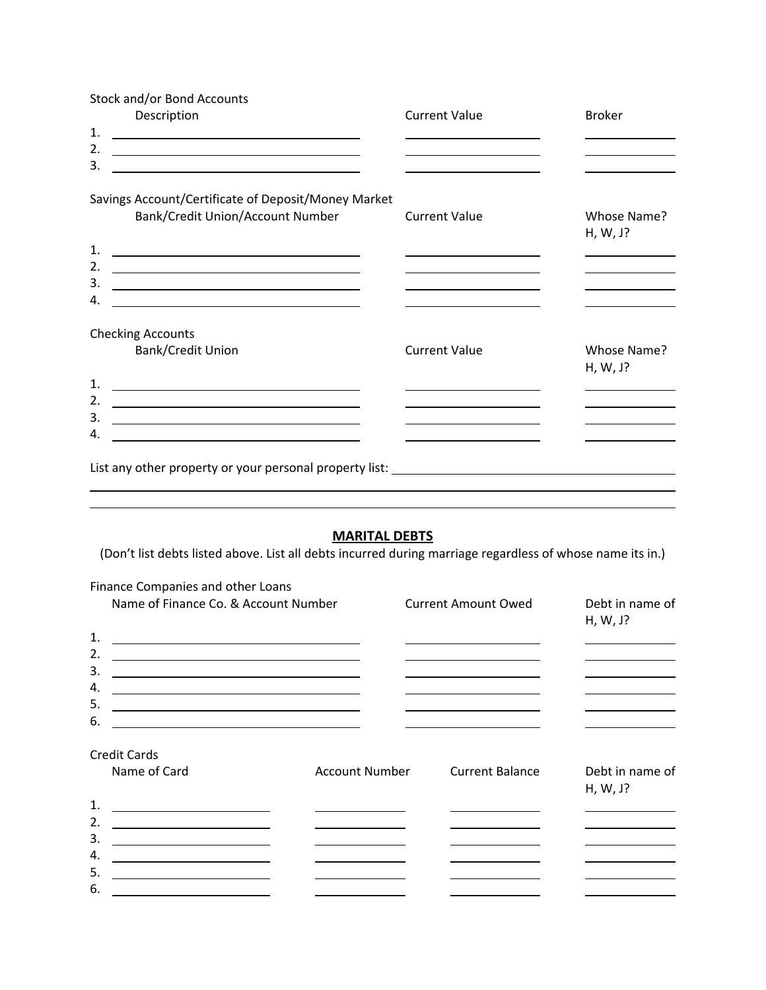| Stock and/or Bond Accounts                                                                                                  |                      |                                              |
|-----------------------------------------------------------------------------------------------------------------------------|----------------------|----------------------------------------------|
| Description                                                                                                                 | <b>Current Value</b> | <b>Broker</b>                                |
| 1.                                                                                                                          |                      |                                              |
| 2.                                                                                                                          |                      |                                              |
| 3.<br><u> 1989 - Johann Barbara, martin amerikan basar dan berasal dan berasal dalam basar dalam basar dalam basar dala</u> |                      |                                              |
|                                                                                                                             |                      |                                              |
| Savings Account/Certificate of Deposit/Money Market                                                                         |                      |                                              |
| Bank/Credit Union/Account Number                                                                                            | <b>Current Value</b> | Whose Name?<br>H, W, J?                      |
| $\mathbf 1$ .<br><u> 1989 - Johann Barn, fransk politik (d. 1989)</u>                                                       |                      |                                              |
| 2.<br><u> 1989 - Johann Barn, fransk politik (d. 1989)</u>                                                                  |                      | the control of the control of the control of |
| 3.<br><u> 1980 - Johann Barn, mars ann an t-Amhain Aonaich an t-Aonaich an t-Aonaich ann an t-Aonaich ann an t-Aonaich</u>  |                      |                                              |
| 4.<br><u> 1989 - Johann Barbara, martin amerikan basar dan basa dan basa dan basa dalam basa dan basa dan basa dalam b</u>  |                      |                                              |
| <b>Checking Accounts</b>                                                                                                    |                      |                                              |
| Bank/Credit Union                                                                                                           | <b>Current Value</b> | Whose Name?                                  |
|                                                                                                                             |                      | H, W, J?                                     |
| 1.<br><u> 1989 - Johann Barn, amerikansk politiker (d. 1989)</u>                                                            |                      | the control of the control of the control    |
| 2.<br><u> 1989 - Johann Barbara, martxa alemaniar a</u>                                                                     |                      |                                              |
| 3.                                                                                                                          |                      |                                              |
| 4.                                                                                                                          |                      |                                              |
|                                                                                                                             |                      |                                              |
| List any other property or your personal property list: _________________________                                           |                      |                                              |
|                                                                                                                             |                      |                                              |

## **MARITAL DEBTS**

(Don't list debts listed above. List all debts incurred during marriage regardless of whose name its in.)

| Finance Companies and other Loans                                                                                            |                                                            |                                                                                           |                                                                                                                      |
|------------------------------------------------------------------------------------------------------------------------------|------------------------------------------------------------|-------------------------------------------------------------------------------------------|----------------------------------------------------------------------------------------------------------------------|
| Name of Finance Co. & Account Number                                                                                         |                                                            | <b>Current Amount Owed</b>                                                                | Debt in name of<br>H, W, J?                                                                                          |
| 1.<br><u> 1989 - Johann Stoff, deutscher Stoffen und der Stoffen und der Stoffen und der Stoffen und der Stoffen und der</u> |                                                            | the control of the control of the control of the control of the control of the control of | the control of the control of the control of                                                                         |
| 2.<br><u> 1989 - Johann Barn, amerikansk politiker (</u>                                                                     |                                                            | <u> 1989 - Johann Barn, mars et al. (b. 1989)</u>                                         |                                                                                                                      |
| 3.<br><u> 1989 - Johann Barn, amerikansk politiker (d. 1989)</u>                                                             |                                                            | <u> 1989 - Johann Barnett, fransk politiker (d. 1989)</u>                                 |                                                                                                                      |
| 4.<br><u> 1989 - Johann Barbara, martxa alemaniar a</u>                                                                      |                                                            | <u> 1989 - Johann Barn, fransk politik (d. 1989)</u>                                      |                                                                                                                      |
| 5.                                                                                                                           |                                                            | <u> 1989 - Johann Barnett, fransk politiker (d. 1989)</u>                                 | <u> 1989 - Johann Barn, mars an t-Amerikaansk fersk</u>                                                              |
| 6.<br><u> 1989 - Johann Stein, marwolaethau a bhann an t-Amhair an t-Amhair an t-Amhair an t-Amhair an t-Amhair an t-A</u>   |                                                            | the contract of the contract of the contract of the contract of the contract of           |                                                                                                                      |
| Credit Cards<br>Name of Card                                                                                                 | <b>Account Number</b>                                      | <b>Current Balance</b>                                                                    | Debt in name of                                                                                                      |
|                                                                                                                              |                                                            |                                                                                           | H, W, J?                                                                                                             |
| $\mathbf 1$<br><u> 1989 - Johann Barn, mars an t-Amerikaansk kommunister (</u>                                               | the contract of the contract of the contract of            | the control of the control of the control of the control of                               |                                                                                                                      |
| $\overline{2}$ .<br><u> 1989 - Johann Barn, fransk politik (</u>                                                             |                                                            | <u> 1980 - Johann Barnett, fransk politik (d. 1980)</u>                                   |                                                                                                                      |
| 3.<br><u> 1989 - Johann Barn, amerikansk politiker (</u>                                                                     | <u> 1980 - Jan James Barnett, fransk politik (d. 1980)</u> |                                                                                           | <u> 1989 - Jan James James Jan James James Jan James James Jan James James Jan James James Jan James James Jan J</u> |
| 4.<br><u> 1980 - Johann Barnett, fransk politik (</u>                                                                        |                                                            |                                                                                           |                                                                                                                      |
| 5.<br><u> 1980 - Johann Barnett, fransk politiker (</u>                                                                      | <u> 1989 - Johann Barnett, fransk kongresu</u>             | <u> 1989 - Johann Barnett, fransk konge</u>                                               | the control of the control of the control of                                                                         |
| 6.<br><u> 1989 - Johann Barn, mars eta bainar eta bainar eta baina eta baina eta baina eta baina eta baina eta baina e</u>   |                                                            |                                                                                           |                                                                                                                      |